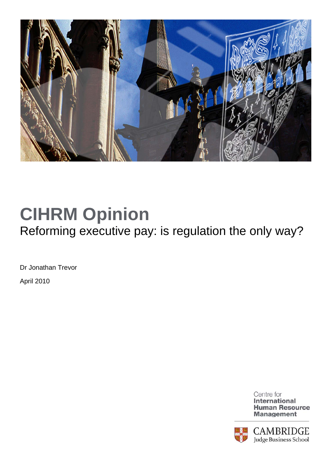

## **CIHRM Opinion**  Reforming executive pay: is regulation the only way?

Dr Jonathan Trevor

April 2010

Centre for **International Human Resource Management**